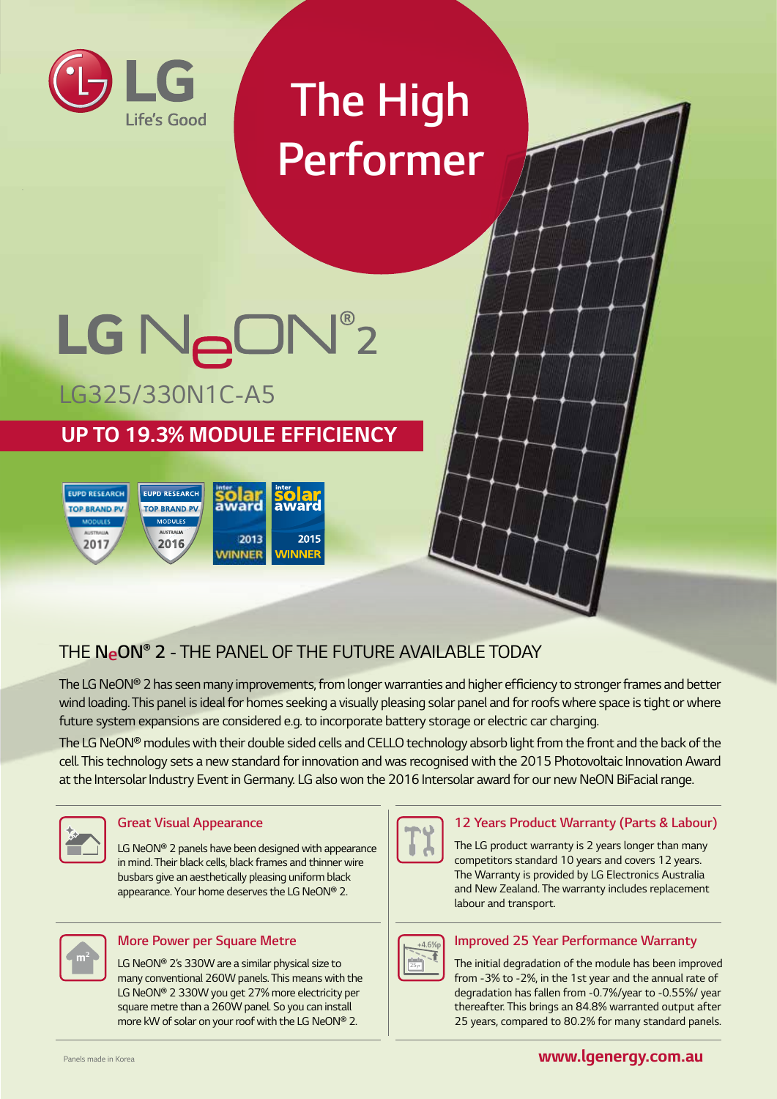

# *The High Performer*

# LG NeON®2 *LG325/330N1C-A5*

# *UP TO 19.3% MODULE EFFICIENCY*



# *THE NeON® 2 - THE PANEL OF THE FUTURE AVAILABLE TODAY*

The LG NeON® 2 has seen many improvements, from longer warranties and higher efficiency to stronger frames and better wind loading. This panel is ideal for homes seeking a visually pleasing solar panel and for roofs where space is tight or where *future system expansions are considered e.g. to incorporate battery storage or electric car charging.* 

*The LG NeON® modules with their double sided cells and CELLO technology absorb light from the front and the back of the cell. This technology sets a new standard for innovation and was recognised with the 2015 Photovoltaic Innovation Award at the Intersolar Industry Event in Germany. LG also won the 2016 Intersolar award for our new NeON BiFacial range.*



#### *Great Visual Appearance*

*LG NeON® 2 panels have been designed with appearance in mind. Their black cells, black frames and thinner wire busbars give an aesthetically pleasing uniform black appearance. Your home deserves the LG NeON® 2.*



#### *More Power per Square Metre*

*LG NeON® 2's 330W are a similar physical size to many conventional 260W panels. This means with the LG NeON® 2 330W you get 27% more electricity per square metre than a 260W panel. So you can install more kW of solar on your roof with the LG NeON® 2.*



#### *12 Years Product Warranty (Parts & Labour)*

*The LG product warranty is 2 years longer than many competitors standard 10 years and covers 12 years. The Warranty is provided by LG Electronics Australia and New Zealand. The warranty includes replacement labour and transport.*



#### *Improved 25 Year Performance Warranty*

*The initial degradation of the module has been improved from -3% to -2%, in the 1st year and the annual rate of degradation has fallen from -0.7%/year to -0.55%/ year thereafter. This brings an 84.8% warranted output after 25 years, compared to 80.2% for many standard panels.*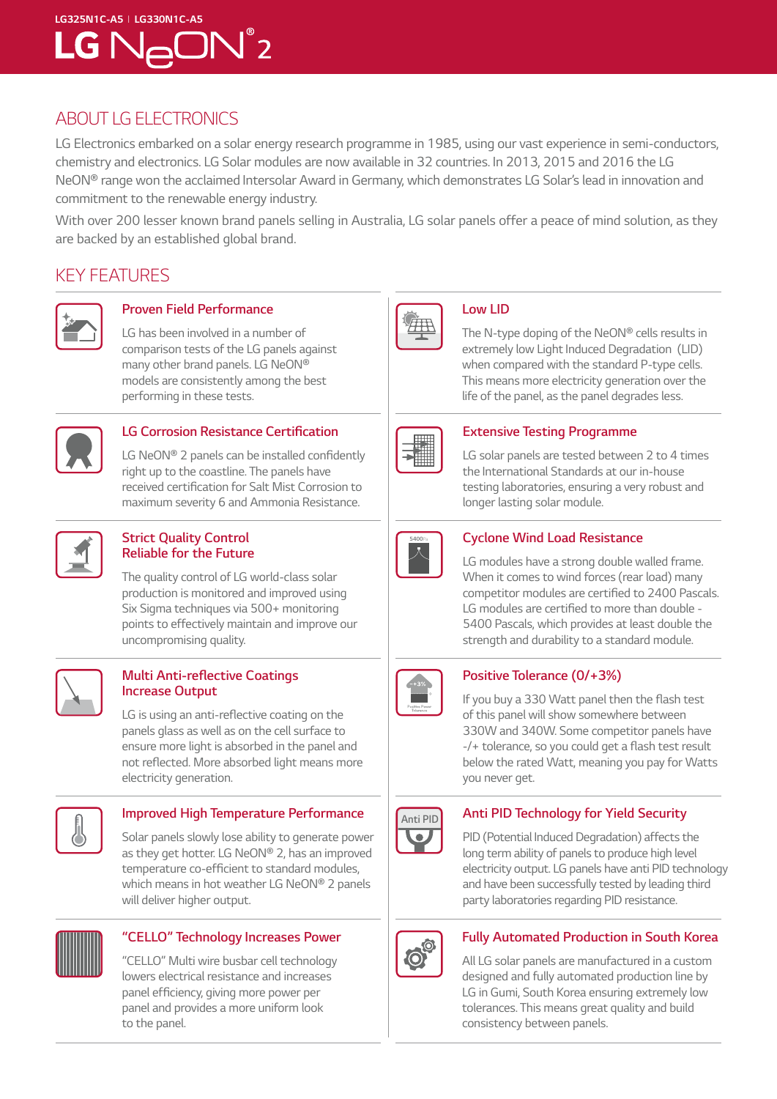# *LG325N1C-A5 I LG330N1C-A5*   $LG$   $N_{\ominus}$ O $N^{\degree}$ 2

### *ABOUT LG ELECTRONICS*

*LG Electronics embarked on a solar energy research programme in 1985, using our vast experience in semi-conductors, chemistry and electronics. LG Solar modules are now available in 32 countries. In 2013, 2015 and 2016 the LG NeON® range won the acclaimed Intersolar Award in Germany, which demonstrates LG Solar's lead in innovation and commitment to the renewable energy industry.* 

*With over 200 lesser known brand panels selling in Australia, LG solar panels offer a peace of mind solution, as they are backed by an established global brand.*

### *KEY FEATURES*



### *Proven Field Performance*

*LG has been involved in a number of comparison tests of the LG panels against many other brand panels. LG NeON® models are consistently among the best performing in these tests.*



#### **LG Corrosion Resistance Certification**

*LG NeON®* 2 panels can be installed confidently *right up to the coastline. The panels have*  received certification for Salt Mist Corrosion to *maximum severity 6 and Ammonia Resistance.* 



#### *Strict Quality Control Reliable for the Future*

*The quality control of LG world-class solar production is monitored and improved using Six Sigma techniques via 500+ monitoring points to effectively maintain and improve our uncompromising quality.*



#### **Multi Anti-reflective Coatings**  *Increase Output*

LG is using an anti-reflective coating on the *panels glass as well as on the cell surface to ensure more light is absorbed in the panel and*  not reflected. More absorbed light means more *electricity generation.*



#### *Improved High Temperature Performance*

*Solar panels slowly lose ability to generate power as they get hotter. LG NeON® 2, has an improved*  temperature co-efficient to standard modules, *which means in hot weather LG NeON® 2 panels will deliver higher output.*



#### *"CELLO" Technology Increases Power*

*"CELLO" Multi wire busbar cell technology lowers electrical resistance and increases*  panel efficiency, giving more power per *panel and provides a more uniform look to the panel.*



#### *Low LID*

*The N-type doping of the NeON® cells results in extremely low Light Induced Degradation (LID) when compared with the standard P-type cells. This means more electricity generation over the life of the panel, as the panel degrades less.*



#### *Extensive Testing Programme*

*LG solar panels are tested between 2 to 4 times the International Standards at our in-house testing laboratories, ensuring a very robust and longer lasting solar module.* 



#### *Cyclone Wind Load Resistance*

*LG modules have a strong double walled frame. When it comes to wind forces (rear load) many*  competitor modules are certified to 2400 Pascals. LG modules are certified to more than double - *5400 Pascals, which provides at least double the strength and durability to a standard module.*



#### **Positive Tolerance (0/+3%)**

If you buy a 330 Watt panel then the flash test *of this panel will show somewhere between 330W and 340W. Some competitor panels have*  -/+ tolerance, so you could get a flash test result *below the rated Watt, meaning you pay for Watts you never get.*



#### *Anti PID Technology for Yield Security*

*PID (Potential Induced Degradation) affects the long term ability of panels to produce high level electricity output. LG panels have anti PID technology and have been successfully tested by leading third party laboratories regarding PID resistance.*



#### *Fully Automated Production in South Korea*

*All LG solar panels are manufactured in a custom designed and fully automated production line by LG in Gumi, South Korea ensuring extremely low tolerances. This means great quality and build consistency between panels.*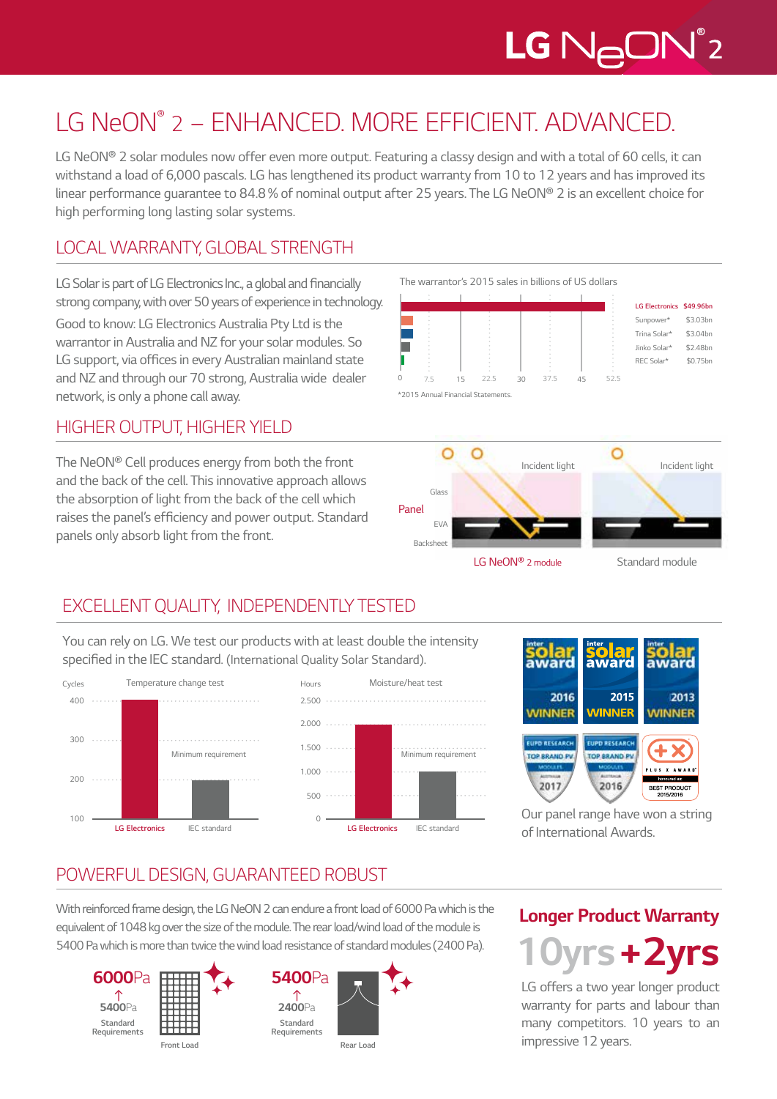# $LG$   $N_{\bigoplus}$ O $N^{\degree}$ 2

# *LG NeON® 2 – ENHANCED. MORE EFFICIENT. ADVANCED.*

LG NeON<sup>®</sup> 2 solar modules now offer even more output. Featuring a classy design and with a total of 60 cells, it can withstand a load of 6,000 pascals. LG has lengthened its product warranty from 10 to 12 years and has improved its *linear performance guarantee to 84.8% of nominal output after 25 years. The LG NeON® 2 is an excellent choice for high performing long lasting solar systems.*

## *LOCAL WARRANTY, GLOBAL STRENGTH*

LG Solar is part of LG Electronics Inc., a global and financially *strong company, with over 50 years of experience in technology. Good to know: LG Electronics Australia Pty Ltd is the* 

*warrantor in Australia and NZ for your solar modules. So*  LG support, via offices in every Australian mainland state *and NZ and through our 70 strong, Australia wide dealer network, is only a phone call away.*

### *HIGHER OUTPUT, HIGHER YIELD*

*The NeON® Cell produces energy from both the front and the back of the cell. This innovative approach allows the absorption of light from the back of the cell which*  raises the panel's efficiency and power output. Standard *panels only absorb light from the front.*







*Incident light LG NeON® 2 module Standard module*

## *EXCELLENT QUALITY, INDEPENDENTLY TESTED*

*You can rely on LG. We test our products with at least double the intensity*  specified in the IEC standard*. (International Quality Solar Standard).*





*EVA Backsheet*

*Panel*



*Our panel range have won a string of International Awards.*

## *POWERFUL DESIGN, GUARANTEED ROBUST*

*With reinforced frame design, the LG NeON 2 can endure a front load of 6000 Pa which is the equivalent of 1048 kg over the size of the module. The rear load/wind load of the module is 5400 Pa which is more than twice the wind load resistance of standard modules (2400 Pa).*







# *Longer Product Warranty 10yrs + 2yrs*

*LG offers a two year longer product warranty for parts and labour than many competitors. 10 years to an impressive 12 years.*